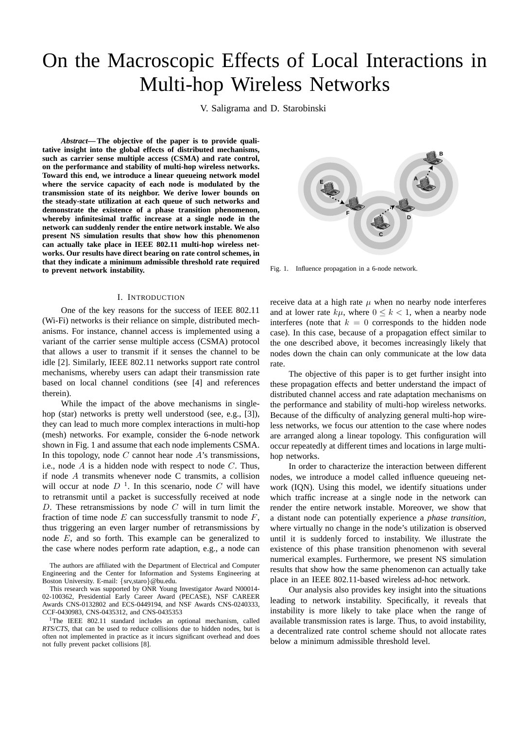# On the Macroscopic Effects of Local Interactions in Multi-hop Wireless Networks

V. Saligrama and D. Starobinski

*Abstract***— The objective of the paper is to provide qualitative insight into the global effects of distributed mechanisms, such as carrier sense multiple access (CSMA) and rate control, on the performance and stability of multi-hop wireless networks. Toward this end, we introduce a linear queueing network model where the service capacity of each node is modulated by the transmission state of its neighbor. We derive lower bounds on the steady-state utilization at each queue of such networks and demonstrate the existence of a phase transition phenomenon, whereby infinitesimal traffic increase at a single node in the network can suddenly render the entire network instable. We also present NS simulation results that show how this phenomenon can actually take place in IEEE 802.11 multi-hop wireless networks. Our results have direct bearing on rate control schemes, in that they indicate a minimum admissible threshold rate required to prevent network instability.**

# I. INTRODUCTION

One of the key reasons for the success of IEEE 802.11 (Wi-Fi) networks is their reliance on simple, distributed mechanisms. For instance, channel access is implemented using a variant of the carrier sense multiple access (CSMA) protocol that allows a user to transmit if it senses the channel to be idle [2]. Similarly, IEEE 802.11 networks support rate control mechanisms, whereby users can adapt their transmission rate based on local channel conditions (see [4] and references therein).

While the impact of the above mechanisms in singlehop (star) networks is pretty well understood (see, e.g., [3]), they can lead to much more complex interactions in multi-hop (mesh) networks. For example, consider the 6-node network shown in Fig. 1 and assume that each node implements CSMA. In this topology, node  $C$  cannot hear node  $A$ 's transmissions, i.e., node A is a hidden node with respect to node C. Thus, if node A transmits whenever node C transmits, a collision will occur at node  $D^{-1}$ . In this scenario, node C will have to retransmit until a packet is successfully received at node D. These retransmissions by node  $C$  will in turn limit the fraction of time node  $E$  can successfully transmit to node  $F$ . thus triggering an even larger number of retransmissions by node E, and so forth. This example can be generalized to the case where nodes perform rate adaption, e.g., a node can

The authors are affiliated with the Department of Electrical and Computer Engineering and the Center for Information and Systems Engineering at Boston University. E-mail: {srv,staro}@bu.edu.

This research was supported by ONR Young Investigator Award N00014- 02-100362, Presidential Early Career Award (PECASE), NSF CAREER Awards CNS-0132802 and ECS-0449194, and NSF Awards CNS-0240333, CCF-0430983, CNS-0435312, and CNS-0435353

<sup>1</sup>The IEEE 802.11 standard includes an optional mechanism, called *RTS*/*CTS*, that can be used to reduce collisions due to hidden nodes, but is often not implemented in practice as it incurs significant overhead and does not fully prevent packet collisions [8].



Fig. 1. Influence propagation in a 6-node network.

receive data at a high rate  $\mu$  when no nearby node interferes and at lower rate  $k\mu$ , where  $0 \le k \le 1$ , when a nearby node interferes (note that  $k = 0$  corresponds to the hidden node case). In this case, because of a propagation effect similar to the one described above, it becomes increasingly likely that nodes down the chain can only communicate at the low data rate.

The objective of this paper is to get further insight into these propagation effects and better understand the impact of distributed channel access and rate adaptation mechanisms on the performance and stability of multi-hop wireless networks. Because of the difficulty of analyzing general multi-hop wireless networks, we focus our attention to the case where nodes are arranged along a linear topology. This configuration will occur repeatedly at different times and locations in large multihop networks.

In order to characterize the interaction between different nodes, we introduce a model called influence queueing network (IQN). Using this model, we identify situations under which traffic increase at a single node in the network can render the entire network instable. Moreover, we show that a distant node can potentially experience a *phase transition*, where virtually no change in the node's utilization is observed until it is suddenly forced to instability. We illustrate the existence of this phase transition phenomenon with several numerical examples. Furthermore, we present NS simulation results that show how the same phenomenon can actually take place in an IEEE 802.11-based wireless ad-hoc network.

Our analysis also provides key insight into the situations leading to network instability. Specifically, it reveals that instability is more likely to take place when the range of available transmission rates is large. Thus, to avoid instability, a decentralized rate control scheme should not allocate rates below a minimum admissible threshold level.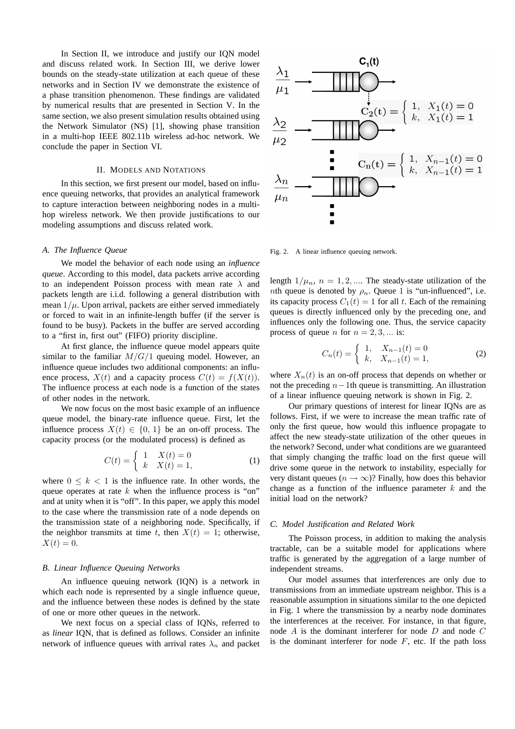In Section II, we introduce and justify our IQN model and discuss related work. In Section III, we derive lower bounds on the steady-state utilization at each queue of these networks and in Section IV we demonstrate the existence of a phase transition phenomenon. These findings are validated by numerical results that are presented in Section V. In the same section, we also present simulation results obtained using the Network Simulator (NS) [1], showing phase transition in a multi-hop IEEE 802.11b wireless ad-hoc network. We conclude the paper in Section VI.

## II. MODELS AND NOTATIONS

In this section, we first present our model, based on influence queuing networks, that provides an analytical framework to capture interaction between neighboring nodes in a multihop wireless network. We then provide justifications to our modeling assumptions and discuss related work.

## *A. The Influence Queue*

We model the behavior of each node using an *influence queue*. According to this model, data packets arrive according to an independent Poisson process with mean rate  $\lambda$  and packets length are i.i.d. following a general distribution with mean  $1/\mu$ . Upon arrival, packets are either served immediately or forced to wait in an infinite-length buffer (if the server is found to be busy). Packets in the buffer are served according to a "first in, first out" (FIFO) priority discipline.

At first glance, the influence queue model appears quite similar to the familiar  $M/G/1$  queuing model. However, an influence queue includes two additional components: an influence process,  $X(t)$  and a capacity process  $C(t) = f(X(t))$ . The influence process at each node is a function of the states of other nodes in the network.

We now focus on the most basic example of an influence queue model, the binary-rate influence queue. First, let the influence process  $X(t) \in \{0, 1\}$  be an on-off process. The capacity process (or the modulated process) is defined as

$$
C(t) = \begin{cases} 1 & X(t) = 0 \\ k & X(t) = 1, \end{cases}
$$
 (1)

where  $0 \leq k \leq 1$  is the influence rate. In other words, the queue operates at rate  $k$  when the influence process is "on" and at unity when it is "off". In this paper, we apply this model to the case where the transmission rate of a node depends on the transmission state of a neighboring node. Specifically, if the neighbor transmits at time t, then  $X(t) = 1$ ; otherwise,  $X(t) = 0.$ 

## *B. Linear Influence Queuing Networks*

An influence queuing network (IQN) is a network in which each node is represented by a single influence queue, and the influence between these nodes is defined by the state of one or more other queues in the network.

We next focus on a special class of IQNs, referred to as *linear* IQN, that is defined as follows. Consider an infinite network of influence queues with arrival rates  $\lambda_n$  and packet



Fig. 2. A linear influence queuing network.

length  $1/\mu_n$ ,  $n = 1, 2, \dots$  The steady-state utilization of the *nth* queue is denoted by  $\rho_n$ . Queue 1 is "un-influenced", i.e. its capacity process  $C_1(t) = 1$  for all t. Each of the remaining queues is directly influenced only by the preceding one, and influences only the following one. Thus, the service capacity process of queue *n* for  $n = 2, 3, \dots$  is:

$$
C_n(t) = \begin{cases} 1, & X_{n-1}(t) = 0 \\ k, & X_{n-1}(t) = 1, \end{cases}
$$
 (2)

where  $X_n(t)$  is an on-off process that depends on whether or not the preceding  $n-1$ th queue is transmitting. An illustration of a linear influence queuing network is shown in Fig. 2.

Our primary questions of interest for linear IQNs are as follows. First, if we were to increase the mean traffic rate of only the first queue, how would this influence propagate to affect the new steady-state utilization of the other queues in the network? Second, under what conditions are we guaranteed that simply changing the traffic load on the first queue will drive some queue in the network to instability, especially for very distant queues ( $n \to \infty$ )? Finally, how does this behavior change as a function of the influence parameter  $k$  and the initial load on the network?

## *C. Model Justification and Related Work*

The Poisson process, in addition to making the analysis tractable, can be a suitable model for applications where traffic is generated by the aggregation of a large number of independent streams.

Our model assumes that interferences are only due to transmissions from an immediate upstream neighbor. This is a reasonable assumption in situations similar to the one depicted in Fig. 1 where the transmission by a nearby node dominates the interferences at the receiver. For instance, in that figure, node A is the dominant interferer for node D and node C is the dominant interferer for node  $F$ , etc. If the path loss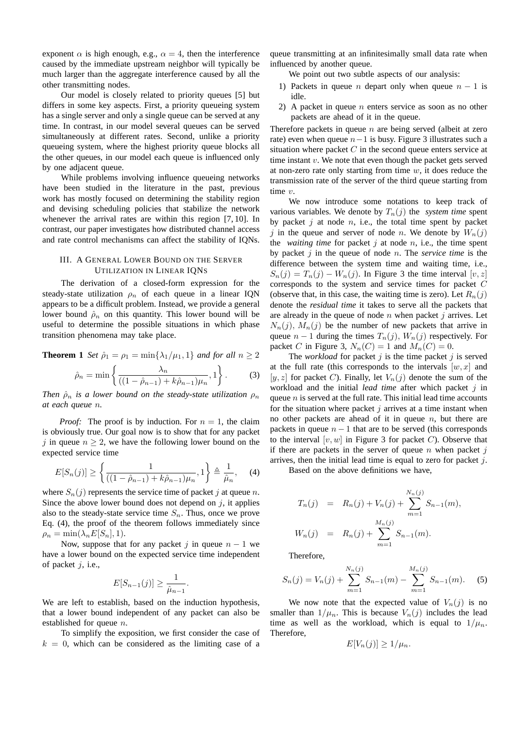exponent  $\alpha$  is high enough, e.g.,  $\alpha = 4$ , then the interference caused by the immediate upstream neighbor will typically be much larger than the aggregate interference caused by all the other transmitting nodes.

Our model is closely related to priority queues [5] but differs in some key aspects. First, a priority queueing system has a single server and only a single queue can be served at any time. In contrast, in our model several queues can be served simultaneously at different rates. Second, unlike a priority queueing system, where the highest priority queue blocks all the other queues, in our model each queue is influenced only by one adjacent queue.

While problems involving influence queueing networks have been studied in the literature in the past, previous work has mostly focused on determining the stability region and devising scheduling policies that stabilize the network whenever the arrival rates are within this region [7, 10]. In contrast, our paper investigates how distributed channel access and rate control mechanisms can affect the stability of IQNs.

# III. A GENERAL LOWER BOUND ON THE SERVER UTILIZATION IN LINEAR IQNS

The derivation of a closed-form expression for the steady-state utilization  $\rho_n$  of each queue in a linear IQN appears to be a difficult problem. Instead, we provide a general lower bound  $\hat{\rho}_n$  on this quantity. This lower bound will be useful to determine the possible situations in which phase transition phenomena may take place.

**Theorem 1** Set 
$$
\hat{\rho}_1 = \rho_1 = \min\{\lambda_1/\mu_1, 1\}
$$
 and for all  $n \ge 2$   

$$
\hat{\rho}_n = \min\left\{\frac{\lambda_n}{((1-\hat{\rho}_{n-1}) + k\hat{\rho}_{n-1})\mu_n}, 1\right\}.
$$
 (3)

*Then*  $\hat{\rho}_n$  *is a lower bound on the steady-state utilization*  $\rho_n$ *at each queue* n*.*

*Proof:* The proof is by induction. For  $n = 1$ , the claim is obviously true. Our goal now is to show that for any packet j in queue  $n \geq 2$ , we have the following lower bound on the expected service time

$$
E[S_n(j)] \ge \left\{ \frac{1}{((1 - \hat{\rho}_{n-1}) + k\hat{\rho}_{n-1})\mu_n}, 1 \right\} \triangleq \frac{1}{\hat{\mu}_n}, \quad (4)
$$

where  $S_n(j)$  represents the service time of packet j at queue n. Since the above lower bound does not depend on  $j$ , it applies also to the steady-state service time  $S_n$ . Thus, once we prove Eq. (4), the proof of the theorem follows immediately since  $\rho_n = \min(\lambda_n E[S_n], 1).$ 

Now, suppose that for any packet j in queue  $n - 1$  we have a lower bound on the expected service time independent of packet  $j$ , i.e.,

$$
E[S_{n-1}(j)] \geq \frac{1}{\hat{\mu}_{n-1}}.
$$

We are left to establish, based on the induction hypothesis, that a lower bound independent of any packet can also be established for queue *n*.

To simplify the exposition, we first consider the case of  $k = 0$ , which can be considered as the limiting case of a

queue transmitting at an infinitesimally small data rate when influenced by another queue.

We point out two subtle aspects of our analysis:

- 1) Packets in queue *n* depart only when queue  $n 1$  is idle.
- 2) A packet in queue  $n$  enters service as soon as no other packets are ahead of it in the queue.

Therefore packets in queue  $n$  are being served (albeit at zero rate) even when queue  $n-1$  is busy. Figure 3 illustrates such a situation where packet  $C$  in the second queue enters service at time instant  $v$ . We note that even though the packet gets served at non-zero rate only starting from time  $w$ , it does reduce the transmission rate of the server of the third queue starting from time v.

We now introduce some notations to keep track of various variables. We denote by  $T_n(j)$  the *system time* spent by packet  $j$  at node  $n$ , i.e., the total time spent by packet j in the queue and server of node n. We denote by  $W_n(j)$ the *waiting time* for packet  $j$  at node  $n$ , i.e., the time spent by packet j in the queue of node n. The *service time* is the difference between the system time and waiting time, i.e.,  $S_n(j) = T_n(j) - W_n(j)$ . In Figure 3 the time interval [v, z] corresponds to the system and service times for packet C (observe that, in this case, the waiting time is zero). Let  $R_n(j)$ denote the *residual time* it takes to serve all the packets that are already in the queue of node  $n$  when packet  $j$  arrives. Let  $N_n(j)$ ,  $M_n(j)$  be the number of new packets that arrive in queue  $n - 1$  during the times  $T_n(j)$ ,  $W_n(j)$  respectively. For packet C in Figure 3,  $N_n(C) = 1$  and  $M_n(C) = 0$ .

The *workload* for packet  $j$  is the time packet  $j$  is served at the full rate (this corresponds to the intervals  $[w, x]$  and [y, z] for packet C). Finally, let  $V_n(j)$  denote the sum of the workload and the initial *lead time* after which packet j in queue  $n$  is served at the full rate. This initial lead time accounts for the situation where packet  $j$  arrives at a time instant when no other packets are ahead of it in queue  $n$ , but there are packets in queue  $n - 1$  that are to be served (this corresponds to the interval  $[v, w]$  in Figure 3 for packet C). Observe that if there are packets in the server of queue  $n$  when packet  $j$ arrives, then the initial lead time is equal to zero for packet  $i$ .

Based on the above definitions we have,

$$
T_n(j) = R_n(j) + V_n(j) + \sum_{m=1}^{N_n(j)} S_{n-1}(m),
$$
  

$$
W_n(j) = R_n(j) + \sum_{m=1}^{M_n(j)} S_{n-1}(m).
$$

Therefore,

$$
S_n(j) = V_n(j) + \sum_{m=1}^{N_n(j)} S_{n-1}(m) - \sum_{m=1}^{M_n(j)} S_{n-1}(m).
$$
 (5)

We now note that the expected value of  $V_n(j)$  is no smaller than  $1/\mu_n$ . This is because  $V_n(j)$  includes the lead time as well as the workload, which is equal to  $1/\mu_n$ . Therefore,

$$
E[V_n(j)] \ge 1/\mu_n.
$$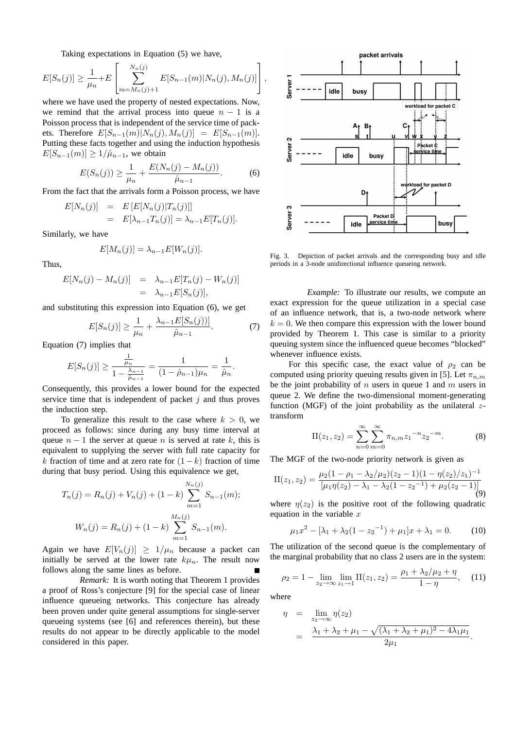Taking expectations in Equation (5) we have, ۔<br>م

$$
E[S_n(j)] \geq \frac{1}{\mu_n} + E\left[\sum_{m=M_n(j)+1}^{N_n(j)} E[S_{n-1}(m)|N_n(j), M_n(j)]\right],
$$

where we have used the property of nested expectations. Now, we remind that the arrival process into queue  $n - 1$  is a Poisson process that is independent of the service time of packets. Therefore  $E[S_{n-1}(m)|N_n(j), M_n(j)] = E[S_{n-1}(m)]$ . Putting these facts together and using the induction hypothesis  $E[S_{n-1}(m)] \geq 1/\hat{\mu}_{n-1}$ , we obtain

$$
E(S_n(j)) \ge \frac{1}{\mu_n} + \frac{E(N_n(j) - M_n(j))}{\hat{\mu}_{n-1}}.
$$
 (6)

From the fact that the arrivals form a Poisson process, we have

$$
E[N_n(j)] = E[E[N_n(j)|T_n(j)]]
$$
  
= 
$$
E[\lambda_{n-1}T_n(j)] = \lambda_{n-1}E[T_n(j)].
$$

Similarly, we have

$$
E[M_n(j)] = \lambda_{n-1} E[W_n(j)].
$$

Thus,

$$
E[N_n(j) - M_n(j)] = \lambda_{n-1} E[T_n(j) - W_n(j)]
$$
  
=  $\lambda_{n-1} E[S_n(j)],$ 

and substituting this expression into Equation (6), we get

$$
E[S_n(j)] \ge \frac{1}{\mu_n} + \frac{\lambda_{n-1}E[S_n(j))]}{\hat{\mu}_{n-1}}.
$$
 (7)

Equation (7) implies that

$$
E[S_n(j)] \ge \frac{\frac{1}{\mu_n}}{1 - \frac{\lambda_{n-1}}{\hat{\mu}_{n-1}}} = \frac{1}{(1 - \hat{\rho}_{n-1})\mu_n} = \frac{1}{\hat{\mu}_n}.
$$

Consequently, this provides a lower bound for the expected service time that is independent of packet  $j$  and thus proves the induction step.

To generalize this result to the case where  $k > 0$ , we proceed as follows: since during any busy time interval at queue  $n - 1$  the server at queue n is served at rate k, this is equivalent to supplying the server with full rate capacity for k fraction of time and at zero rate for  $(1-k)$  fraction of time during that busy period. Using this equivalence we get,

$$
T_n(j) = R_n(j) + V_n(j) + (1 - k) \sum_{m=1}^{N_n(j)} S_{n-1}(m);
$$
  

$$
W_n(j) = R_n(j) + (1 - k) \sum_{m=1}^{M_n(j)} S_{n-1}(m).
$$

Again we have  $E[V_n(j)] \geq 1/\mu_n$  because a packet can initially be served at the lower rate  $k\mu_n$ . The result now follows along the same lines as before.

*Remark:* It is worth noting that Theorem 1 provides a proof of Ross's conjecture [9] for the special case of linear influence queueing networks. This conjecture has already been proven under quite general assumptions for single-server queueing systems (see [6] and references therein), but these results do not appear to be directly applicable to the model considered in this paper.



Fig. 3. Depiction of packet arrivals and the corresponding busy and idle periods in a 3-node unidirectional influence queueing network.

*Example:* To illustrate our results, we compute an exact expression for the queue utilization in a special case of an influence network, that is, a two-node network where  $k = 0$ . We then compare this expression with the lower bound provided by Theorem 1. This case is similar to a priority queuing system since the influenced queue becomes "blocked" whenever influence exists.

For this specific case, the exact value of  $\rho_2$  can be computed using priority queuing results given in [5]. Let  $\pi_{n,m}$ be the joint probability of  $n$  users in queue 1 and  $m$  users in queue 2. We define the two-dimensional moment-generating function (MGF) of the joint probability as the unilateral  $z$ transform

$$
\Pi(z_1, z_2) = \sum_{n=0}^{\infty} \sum_{m=0}^{\infty} \pi_{n,m} z_1^{-n} z_2^{-m}.
$$
 (8)

The MGF of the two-node priority network is given as

$$
\Pi(z_1, z_2) = \frac{\mu_2(1 - \rho_1 - \lambda_2/\mu_2)(z_2 - 1)(1 - \eta(z_2)/z_1)^{-1}}{[\mu_1 \eta(z_2) - \lambda_1 - \lambda_2(1 - z_2^{-1}) + \mu_2(z_2 - 1)]}
$$
(9)

where  $\eta(z_2)$  is the positive root of the following quadratic equation in the variable  $x$ 

$$
\mu_1 x^2 - [\lambda_1 + \lambda_2 (1 - z_2^{-1}) + \mu_1] x + \lambda_1 = 0. \tag{10}
$$

The utilization of the second queue is the complementary of the marginal probability that no class 2 users are in the system:

$$
\rho_2 = 1 - \lim_{z_2 \to \infty} \lim_{z_1 \to 1} \Pi(z_1, z_2) = \frac{\rho_1 + \lambda_2/\mu_2 + \eta}{1 - \eta}, \quad (11)
$$

where

$$
\eta = \lim_{z_2 \to \infty} \eta(z_2)
$$
  
=  $\frac{\lambda_1 + \lambda_2 + \mu_1 - \sqrt{(\lambda_1 + \lambda_2 + \mu_1)^2 - 4\lambda_1\mu_1}}{2\mu_1}.$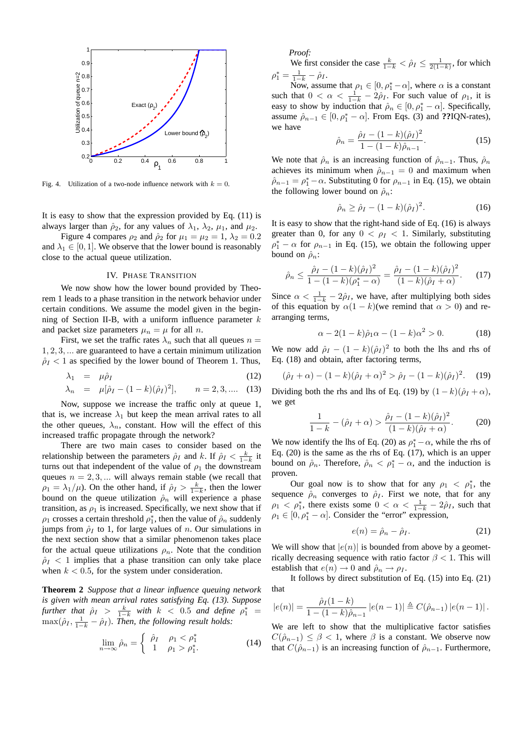

Fig. 4. Utilization of a two-node influence network with  $k = 0$ .

It is easy to show that the expression provided by Eq. (11) is always larger than  $\hat{\rho}_2$ , for any values of  $\lambda_1$ ,  $\lambda_2$ ,  $\mu_1$ , and  $\mu_2$ .

Figure 4 compares  $\rho_2$  and  $\hat{\rho}_2$  for  $\mu_1 = \mu_2 = 1$ ,  $\lambda_2 = 0.2$ and  $\lambda_1 \in [0, 1]$ . We observe that the lower bound is reasonably close to the actual queue utilization.

#### IV. PHASE TRANSITION

We now show how the lower bound provided by Theorem 1 leads to a phase transition in the network behavior under certain conditions. We assume the model given in the beginning of Section II-B, with a uniform influence parameter  $k$ and packet size parameters  $\mu_n = \mu$  for all *n*.

First, we set the traffic rates  $\lambda_n$  such that all queues  $n =$ 1, 2, 3, ... are guaranteed to have a certain minimum utilization  $\hat{\rho}_I$  < 1 as specified by the lower bound of Theorem 1. Thus,

$$
\lambda_1 = \mu \hat{\rho}_I \tag{12}
$$

$$
\lambda_n = \mu[\hat{\rho}_I - (1 - k)(\hat{\rho}_I)^2], \qquad n = 2, 3, .... \quad (13)
$$

Now, suppose we increase the traffic only at queue 1, that is, we increase  $\lambda_1$  but keep the mean arrival rates to all the other queues,  $\lambda_n$ , constant. How will the effect of this increased traffic propagate through the network?

There are two main cases to consider based on the relationship between the parameters  $\hat{\rho}_I$  and k. If  $\hat{\rho}_I < \frac{k}{1-k}$  it turns out that independent of the value of  $\rho_1$  the downstream queues  $n = 2, 3, \dots$  will always remain stable (we recall that  $\rho_1 = \lambda_1/\mu$ ). On the other hand, if  $\hat{\rho}_I > \frac{k}{1-k}$ , then the lower bound on the queue utilization  $\hat{\rho}_n$  will experience a phase transition, as  $\rho_1$  is increased. Specifically, we next show that if  $\rho_1$  crosses a certain threshold  $\rho_1^*$ , then the value of  $\hat{\rho}_n$  suddenly jumps from  $\hat{\rho}_I$  to 1, for large values of n. Our simulations in the next section show that a similar phenomenon takes place for the actual queue utilizations  $\rho_n$ . Note that the condition  $\hat{\rho}_I$  < 1 implies that a phase transition can only take place when  $k < 0.5$ , for the system under consideration.

**Theorem 2** *Suppose that a linear influence queuing network is given with mean arrival rates satisfying Eq. (13). Suppose further that*  $\hat{\rho}_I$  >  $\frac{k}{1-k}$  *with*  $k$  < 0.5 *and define*  $\rho_1^*$  =  $\max(\hat{\rho}_I, \frac{1}{1-k} - \hat{\rho}_I)$ . Then, the following result holds:

$$
\lim_{n \to \infty} \hat{\rho}_n = \begin{cases} \n\hat{\rho}_I & \rho_1 < \rho_1^* \\
1 & \rho_1 > \rho_1^*. \n\end{cases} \tag{14}
$$

*Proof:*

We first consider the case  $\frac{k}{1-k} < \hat{\rho}_I \le \frac{1}{2(1-k)}$ , for which  $\rho_1^* = \frac{1}{1-k} - \hat{\rho}_I.$ 

Now, assume that  $\rho_1 \in [0, \rho_1^* - \alpha]$ , where  $\alpha$  is a constant such that  $0 < \alpha < \frac{1}{1-k} - 2\hat{\rho}_I$ . For such value of  $\rho_1$ , it is easy to show by induction that  $\hat{\rho}_n \in [0, \rho_1^* - \alpha]$ . Specifically, assume  $\hat{\rho}_{n-1} \in [0, \rho_1^* - \alpha]$ . From Eqs. (3) and **??IQN-rates**), we have  $22222$ 

$$
\hat{\rho}_n = \frac{\hat{\rho}_I - (1 - k)(\hat{\rho}_I)^2}{1 - (1 - k)\hat{\rho}_{n-1}}.
$$
\n(15)

We note that  $\hat{\rho}_n$  is an increasing function of  $\hat{\rho}_{n-1}$ . Thus,  $\hat{\rho}_n$ achieves its minimum when  $\hat{\rho}_{n-1} = 0$  and maximum when  $\hat{\rho}_{n-1} = \rho_1^* - \alpha$ . Substituting 0 for  $\rho_{n-1}$  in Eq. (15), we obtain the following lower bound on  $\hat{\rho}_n$ :

$$
\hat{\rho}_n \ge \hat{\rho}_I - (1 - k)(\hat{\rho}_I)^2. \tag{16}
$$

It is easy to show that the right-hand side of Eq. (16) is always greater than 0, for any  $0 < \rho_I < 1$ . Similarly, substituting  $\rho_1^* - \alpha$  for  $\rho_{n-1}$  in Eq. (15), we obtain the following upper bound on  $\hat{\rho}_n$ :

$$
\hat{\rho}_n \le \frac{\hat{\rho}_I - (1 - k)(\hat{\rho}_I)^2}{1 - (1 - k)(\rho_1^* - \alpha)} = \frac{\hat{\rho}_I - (1 - k)(\hat{\rho}_I)^2}{(1 - k)(\hat{\rho}_I + \alpha)}.
$$
 (17)

Since  $\alpha < \frac{1}{1-k} - 2\hat{\rho}_I$ , we have, after multiplying both sides of this equation by  $\alpha(1 - k)$ (we remind that  $\alpha > 0$ ) and rearranging terms,

$$
\alpha - 2(1 - k)\hat{\rho}_1 \alpha - (1 - k)\alpha^2 > 0.
$$
 (18)

We now add  $\hat{\rho}_I - (1 - k)(\hat{\rho}_I)^2$  to both the lhs and rhs of Eq. (18) and obtain, after factoring terms,

$$
(\hat{\rho}_I + \alpha) - (1 - k)(\hat{\rho}_I + \alpha)^2 > \hat{\rho}_I - (1 - k)(\hat{\rho}_I)^2.
$$
 (19)

Dividing both the rhs and lhs of Eq. (19) by  $(1 - k)(\hat{\rho}_I + \alpha)$ , we get

$$
\frac{1}{1-k} - (\hat{\rho}_I + \alpha) > \frac{\hat{\rho}_I - (1-k)(\hat{\rho}_I)^2}{(1-k)(\hat{\rho}_I + \alpha)}.
$$
 (20)

We now identify the lhs of Eq. (20) as  $\rho_1^* - \alpha$ , while the rhs of Eq. (20) is the same as the rhs of Eq. (17), which is an upper bound on  $\hat{\rho}_n$ . Therefore,  $\hat{\rho}_n < \rho_1^* - \alpha$ , and the induction is proven.

Our goal now is to show that for any  $\rho_1 < \rho_1^*$ , the sequence  $\hat{\rho}_n$  converges to  $\hat{\rho}_I$ . First we note, that for any  $\rho_1 < \rho_1^*$ , there exists some  $0 < \alpha < \frac{1}{1-k} - 2\hat{\rho}_I$ , such that  $\rho_1 \in [0, \rho_1^* - \alpha]$ . Consider the "error" expression,

$$
e(n) = \hat{\rho}_n - \hat{\rho}_I. \tag{21}
$$

We will show that  $|e(n)|$  is bounded from above by a geometrically decreasing sequence with ratio factor  $\beta$  < 1. This will establish that  $e(n) \to 0$  and  $\hat{\rho}_n \to \rho_I$ .

It follows by direct substitution of Eq. (15) into Eq. (21) that

$$
|e(n)| = \frac{\hat{\rho}_I(1-k)}{1-(1-k)\hat{\rho}_{n-1}} |e(n-1)| \triangleq C(\hat{\rho}_{n-1}) |e(n-1)|.
$$

We are left to show that the multiplicative factor satisfies  $C(\hat{\rho}_{n-1}) \leq \beta < 1$ , where  $\beta$  is a constant. We observe now that  $C(\hat{\rho}_{n-1})$  is an increasing function of  $\hat{\rho}_{n-1}$ . Furthermore,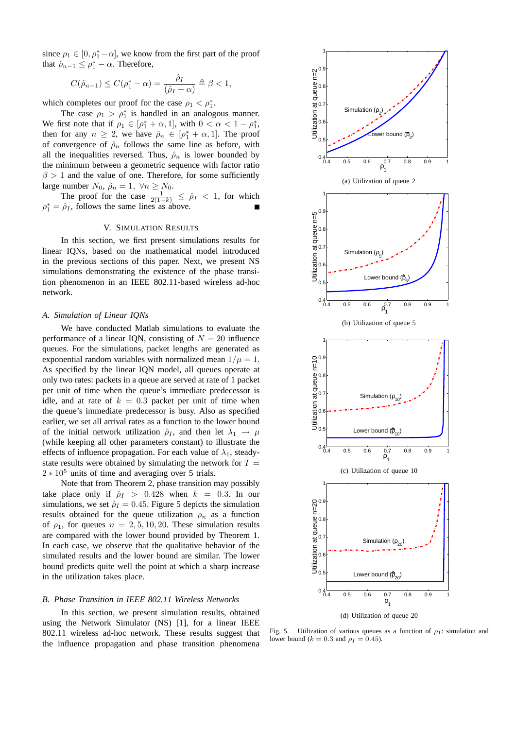since  $\rho_1 \in [0, \rho_1^* - \alpha]$ , we know from the first part of the proof that  $\hat{\rho}_{n-1} \leq \rho_1^* - \alpha$ . Therefore,

$$
C(\hat{\rho}_{n-1}) \le C(\rho_1^* - \alpha) = \frac{\hat{\rho}_I}{(\hat{\rho}_I + \alpha)} \triangleq \beta < 1,
$$

which completes our proof for the case  $\rho_1 < \rho_1^*$ .

The case  $\rho_1 > \rho_1^*$  is handled in an analogous manner. We first note that if  $\rho_1 \in [\rho_1^* + \alpha, 1]$ , with  $0 < \alpha < 1 - \rho_1^*$ , then for any  $n \ge 2$ , we have  $\hat{\rho}_n \in [\rho_1^* + \alpha, 1]$ . The proof of convergence of  $\hat{\rho}_n$  follows the same line as before, with all the inequalities reversed. Thus,  $\hat{\rho}_n$  is lower bounded by the minimum between a geometric sequence with factor ratio  $\beta > 1$  and the value of one. Therefore, for some sufficiently large number  $N_0$ ,  $\hat{\rho}_n = 1$ ,  $\forall n \ge N_0$ .

The proof for the case  $\frac{1}{2(1-k)} \leq \hat{\rho}_I < 1$ , for which  $\rho_1^* = \hat{\rho}_I$ , follows the same lines as above.

## V. SIMULATION RESULTS

In this section, we first present simulations results for linear IQNs, based on the mathematical model introduced in the previous sections of this paper. Next, we present NS simulations demonstrating the existence of the phase transition phenomenon in an IEEE 802.11-based wireless ad-hoc network.

## *A. Simulation of Linear IQNs*

We have conducted Matlab simulations to evaluate the performance of a linear IQN, consisting of  $N = 20$  influence queues. For the simulations, packet lengths are generated as exponential random variables with normalized mean  $1/\mu = 1$ . As specified by the linear IQN model, all queues operate at only two rates: packets in a queue are served at rate of 1 packet per unit of time when the queue's immediate predecessor is idle, and at rate of  $k = 0.3$  packet per unit of time when the queue's immediate predecessor is busy. Also as specified earlier, we set all arrival rates as a function to the lower bound of the initial network utilization  $\hat{\rho}_I$ , and then let  $\lambda_1 \rightarrow \mu$ (while keeping all other parameters constant) to illustrate the effects of influence propagation. For each value of  $\lambda_1$ , steadystate results were obtained by simulating the network for  $T =$  $2 \times 10^5$  units of time and averaging over 5 trials.

Note that from Theorem 2, phase transition may possibly take place only if  $\hat{\rho}_I > 0.428$  when  $k = 0.3$ . In our simulations, we set  $\hat{\rho}_I = 0.45$ . Figure 5 depicts the simulation results obtained for the queue utilization  $\rho_n$  as a function of  $\rho_1$ , for queues  $n = 2, 5, 10, 20$ . These simulation results are compared with the lower bound provided by Theorem 1. In each case, we observe that the qualitative behavior of the simulated results and the lower bound are similar. The lower bound predicts quite well the point at which a sharp increase in the utilization takes place.

# *B. Phase Transition in IEEE 802.11 Wireless Networks*

In this section, we present simulation results, obtained using the Network Simulator (NS) [1], for a linear IEEE 802.11 wireless ad-hoc network. These results suggest that the influence propagation and phase transition phenomena



Fig. 5. Utilization of various queues as a function of  $\rho_1$ : simulation and lower bound ( $k = 0.3$  and  $\rho_I = 0.45$ ).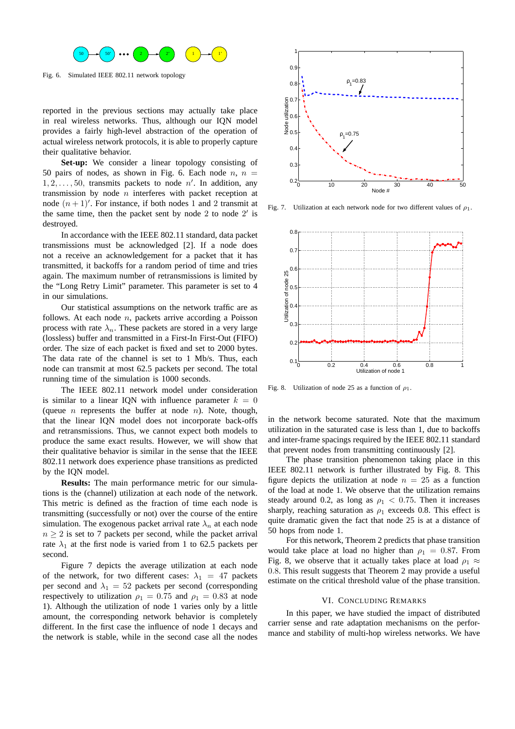

Fig. 6. Simulated IEEE 802.11 network topology

reported in the previous sections may actually take place in real wireless networks. Thus, although our IQN model provides a fairly high-level abstraction of the operation of actual wireless network protocols, it is able to properly capture their qualitative behavior.

**Set-up:** We consider a linear topology consisting of 50 pairs of nodes, as shown in Fig. 6. Each node  $n, n =$  $1, 2, \ldots, 50$ , transmits packets to node n'. In addition, any transmission by node  $n$  interferes with packet reception at node  $(n + 1)'$ . For instance, if both nodes 1 and 2 transmit at the same time, then the packet sent by node  $2$  to node  $2'$  is destroyed.

In accordance with the IEEE 802.11 standard, data packet transmissions must be acknowledged [2]. If a node does not a receive an acknowledgement for a packet that it has transmitted, it backoffs for a random period of time and tries again. The maximum number of retransmissions is limited by the "Long Retry Limit" parameter. This parameter is set to 4 in our simulations.

Our statistical assumptions on the network traffic are as follows. At each node  $n$ , packets arrive according a Poisson process with rate  $\lambda_n$ . These packets are stored in a very large (lossless) buffer and transmitted in a First-In First-Out (FIFO) order. The size of each packet is fixed and set to 2000 bytes. The data rate of the channel is set to 1 Mb/s. Thus, each node can transmit at most 62.5 packets per second. The total running time of the simulation is 1000 seconds.

The IEEE 802.11 network model under consideration is similar to a linear IQN with influence parameter  $k = 0$ (queue  $n$  represents the buffer at node  $n$ ). Note, though, that the linear IQN model does not incorporate back-offs and retransmissions. Thus, we cannot expect both models to produce the same exact results. However, we will show that their qualitative behavior is similar in the sense that the IEEE 802.11 network does experience phase transitions as predicted by the IQN model.

**Results:** The main performance metric for our simulations is the (channel) utilization at each node of the network. This metric is defined as the fraction of time each node is transmitting (successfully or not) over the course of the entire simulation. The exogenous packet arrival rate  $\lambda_n$  at each node  $n \geq 2$  is set to 7 packets per second, while the packet arrival rate  $\lambda_1$  at the first node is varied from 1 to 62.5 packets per second.

Figure 7 depicts the average utilization at each node of the network, for two different cases:  $\lambda_1 = 47$  packets per second and  $\lambda_1 = 52$  packets per second (corresponding respectively to utilization  $\rho_1 = 0.75$  and  $\rho_1 = 0.83$  at node 1). Although the utilization of node 1 varies only by a little amount, the corresponding network behavior is completely different. In the first case the influence of node 1 decays and the network is stable, while in the second case all the nodes



Fig. 7. Utilization at each network node for two different values of  $\rho_1$ .



Fig. 8. Utilization of node 25 as a function of  $\rho_1$ .

in the network become saturated. Note that the maximum utilization in the saturated case is less than 1, due to backoffs and inter-frame spacings required by the IEEE 802.11 standard that prevent nodes from transmitting continuously [2].

The phase transition phenomenon taking place in this IEEE 802.11 network is further illustrated by Fig. 8. This figure depicts the utilization at node  $n = 25$  as a function of the load at node 1. We observe that the utilization remains steady around 0.2, as long as  $\rho_1 < 0.75$ . Then it increases sharply, reaching saturation as  $\rho_1$  exceeds 0.8. This effect is quite dramatic given the fact that node 25 is at a distance of 50 hops from node 1.

For this network, Theorem 2 predicts that phase transition would take place at load no higher than  $\rho_1 = 0.87$ . From Fig. 8, we observe that it actually takes place at load  $\rho_1 \approx$ 0.8. This result suggests that Theorem 2 may provide a useful estimate on the critical threshold value of the phase transition.

# VI. CONCLUDING REMARKS

In this paper, we have studied the impact of distributed carrier sense and rate adaptation mechanisms on the performance and stability of multi-hop wireless networks. We have